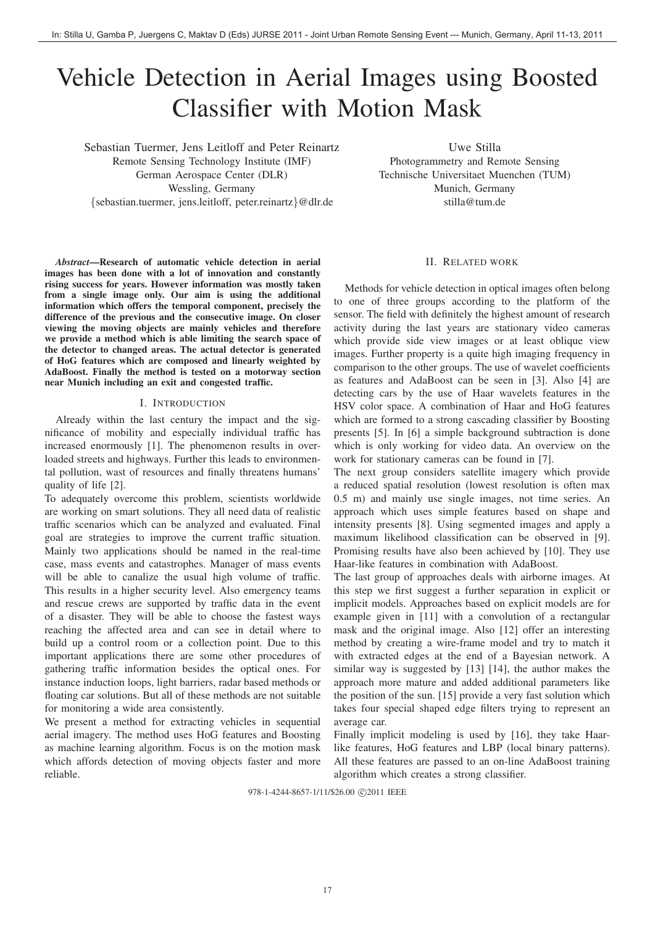# Vehicle Detection in Aerial Images using Boosted Classifier with Motion Mask

Sebastian Tuermer, Jens Leitloff and Peter Reinartz Remote Sensing Technology Institute (IMF) German Aerospace Center (DLR) Wessling, Germany {sebastian.tuermer, jens.leitloff, peter.reinartz}@dlr.de

Uwe Stilla Photogrammetry and Remote Sensing Technische Universitaet Muenchen (TUM) Munich, Germany stilla@tum.de

II. RELATED WORK

*Abstract*—Research of automatic vehicle detection in aerial images has been done with a lot of innovation and constantly rising success for years. However information was mostly taken from a single image only. Our aim is using the additional information which offers the temporal component, precisely the difference of the previous and the consecutive image. On closer viewing the moving objects are mainly vehicles and therefore we provide a method which is able limiting the search space of the detector to changed areas. The actual detector is generated of HoG features which are composed and linearly weighted by AdaBoost. Finally the method is tested on a motorway section near Munich including an exit and congested traffic.

# I. INTRODUCTION

Already within the last century the impact and the significance of mobility and especially individual traffic has increased enormously [1]. The phenomenon results in overloaded streets and highways. Further this leads to environmental pollution, wast of resources and finally threatens humans' quality of life [2].

To adequately overcome this problem, scientists worldwide are working on smart solutions. They all need data of realistic traffic scenarios which can be analyzed and evaluated. Final goal are strategies to improve the current traffic situation. Mainly two applications should be named in the real-time case, mass events and catastrophes. Manager of mass events will be able to canalize the usual high volume of traffic. This results in a higher security level. Also emergency teams and rescue crews are supported by traffic data in the event of a disaster. They will be able to choose the fastest ways reaching the affected area and can see in detail where to build up a control room or a collection point. Due to this important applications there are some other procedures of gathering traffic information besides the optical ones. For instance induction loops, light barriers, radar based methods or floating car solutions. But all of these methods are not suitable for monitoring a wide area consistently.

We present a method for extracting vehicles in sequential aerial imagery. The method uses HoG features and Boosting as machine learning algorithm. Focus is on the motion mask which affords detection of moving objects faster and more reliable.

Methods for vehicle detection in optical images often belong to one of three groups according to the platform of the sensor. The field with definitely the highest amount of research activity during the last years are stationary video cameras which provide side view images or at least oblique view images. Further property is a quite high imaging frequency in comparison to the other groups. The use of wavelet coefficients as features and AdaBoost can be seen in [3]. Also [4] are detecting cars by the use of Haar wavelets features in the HSV color space. A combination of Haar and HoG features which are formed to a strong cascading classifier by Boosting presents [5]. In [6] a simple background subtraction is done which is only working for video data. An overview on the work for stationary cameras can be found in [7].

The next group considers satellite imagery which provide a reduced spatial resolution (lowest resolution is often max 0.5 m) and mainly use single images, not time series. An approach which uses simple features based on shape and intensity presents [8]. Using segmented images and apply a maximum likelihood classification can be observed in [9]. Promising results have also been achieved by [10]. They use Haar-like features in combination with AdaBoost.

The last group of approaches deals with airborne images. At this step we first suggest a further separation in explicit or implicit models. Approaches based on explicit models are for example given in [11] with a convolution of a rectangular mask and the original image. Also [12] offer an interesting method by creating a wire-frame model and try to match it with extracted edges at the end of a Bayesian network. A similar way is suggested by [13] [14], the author makes the approach more mature and added additional parameters like the position of the sun. [15] provide a very fast solution which takes four special shaped edge filters trying to represent an average car.

Finally implicit modeling is used by [16], they take Haarlike features, HoG features and LBP (local binary patterns). All these features are passed to an on-line AdaBoost training algorithm which creates a strong classifier.

978-1-4244-8657-1/11/\$26.00 ©2011 IEEE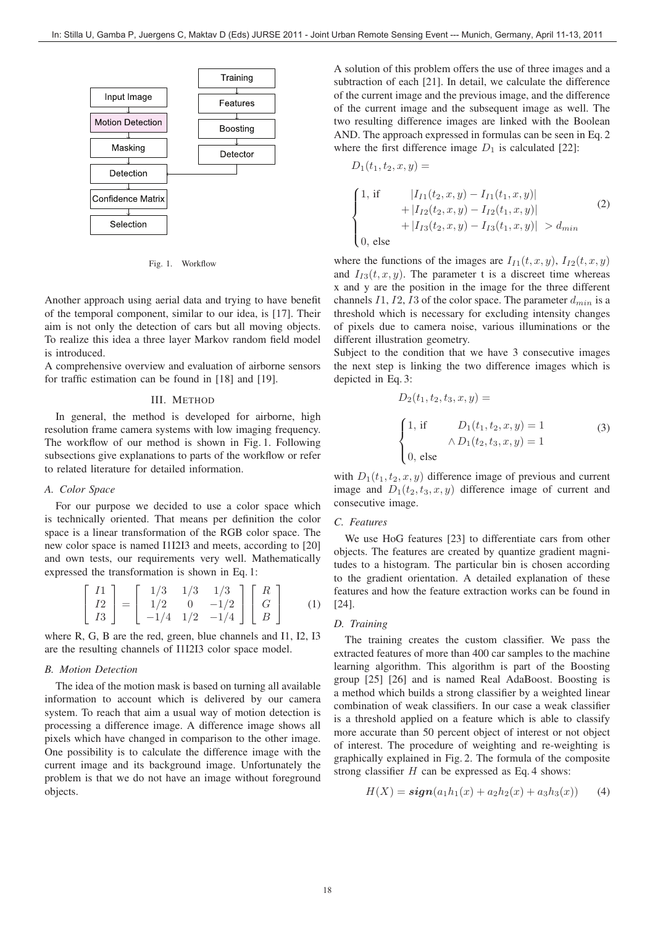

Fig. 1. Workflow

Another approach using aerial data and trying to have benefit of the temporal component, similar to our idea, is [17]. Their aim is not only the detection of cars but all moving objects. To realize this idea a three layer Markov random field model is introduced.

A comprehensive overview and evaluation of airborne sensors for traffic estimation can be found in [18] and [19].

#### III. METHOD

In general, the method is developed for airborne, high resolution frame camera systems with low imaging frequency. The workflow of our method is shown in Fig. 1. Following subsections give explanations to parts of the workflow or refer to related literature for detailed information.

## *A. Color Space*

For our purpose we decided to use a color space which is technically oriented. That means per definition the color space is a linear transformation of the RGB color space. The new color space is named I1I2I3 and meets, according to [20] and own tests, our requirements very well. Mathematically expressed the transformation is shown in Eq. 1:

$$
\begin{bmatrix} I1 \\ I2 \\ I3 \end{bmatrix} = \begin{bmatrix} 1/3 & 1/3 & 1/3 \\ 1/2 & 0 & -1/2 \\ -1/4 & 1/2 & -1/4 \end{bmatrix} \begin{bmatrix} R \\ G \\ B \end{bmatrix}
$$
 (1)

where R, G, B are the red, green, blue channels and I1, I2, I3 are the resulting channels of I1I2I3 color space model.

# *B. Motion Detection*

The idea of the motion mask is based on turning all available information to account which is delivered by our camera system. To reach that aim a usual way of motion detection is processing a difference image. A difference image shows all pixels which have changed in comparison to the other image. One possibility is to calculate the difference image with the current image and its background image. Unfortunately the problem is that we do not have an image without foreground objects.

A solution of this problem offers the use of three images and a subtraction of each [21]. In detail, we calculate the difference of the current image and the previous image, and the difference of the current image and the subsequent image as well. The two resulting difference images are linked with the Boolean AND. The approach expressed in formulas can be seen in Eq. 2 where the first difference image  $D_1$  is calculated [22]:

$$
D_1(t_1, t_2, x, y) =
$$
\n
$$
\begin{cases}\n1, \text{ if } |I_{I1}(t_2, x, y) - I_{I1}(t_1, x, y)| \\
+ |I_{I2}(t_2, x, y) - I_{I2}(t_1, x, y)| \\
+ |I_{I3}(t_2, x, y) - I_{I3}(t_1, x, y)| > d_{min} \\
0, \text{ else}\n\end{cases}
$$
\n(2)

where the functions of the images are  $I_{I1}(t, x, y)$ ,  $I_{I2}(t, x, y)$ and  $I_{I3}(t, x, y)$ . The parameter t is a discreet time whereas x and y are the position in the image for the three different channels I1, I2, I3 of the color space. The parameter  $d_{min}$  is a threshold which is necessary for excluding intensity changes of pixels due to camera noise, various illuminations or the different illustration geometry.

Subject to the condition that we have 3 consecutive images the next step is linking the two difference images which is depicted in Eq. 3:

$$
D_2(t_1, t_2, t_3, x, y) =
$$
\n
$$
\begin{cases}\n1, \text{ if } D_1(t_1, t_2, x, y) = 1 \\
\wedge D_1(t_2, t_3, x, y) = 1 \\
0, \text{ else}\n\end{cases}
$$
\n(3)

with  $D_1(t_1, t_2, x, y)$  difference image of previous and current image and  $D_1(t_2, t_3, x, y)$  difference image of current and consecutive image.

# *C. Features*

We use HoG features [23] to differentiate cars from other objects. The features are created by quantize gradient magnitudes to a histogram. The particular bin is chosen according to the gradient orientation. A detailed explanation of these features and how the feature extraction works can be found in [24].

## *D. Training*

The training creates the custom classifier. We pass the extracted features of more than 400 car samples to the machine learning algorithm. This algorithm is part of the Boosting group [25] [26] and is named Real AdaBoost. Boosting is a method which builds a strong classifier by a weighted linear combination of weak classifiers. In our case a weak classifier is a threshold applied on a feature which is able to classify more accurate than 50 percent object of interest or not object of interest. The procedure of weighting and re-weighting is graphically explained in Fig. 2. The formula of the composite strong classifier  $H$  can be expressed as Eq. 4 shows:

$$
H(X) = \mathbf{sign}(a_1 h_1(x) + a_2 h_2(x) + a_3 h_3(x)) \tag{4}
$$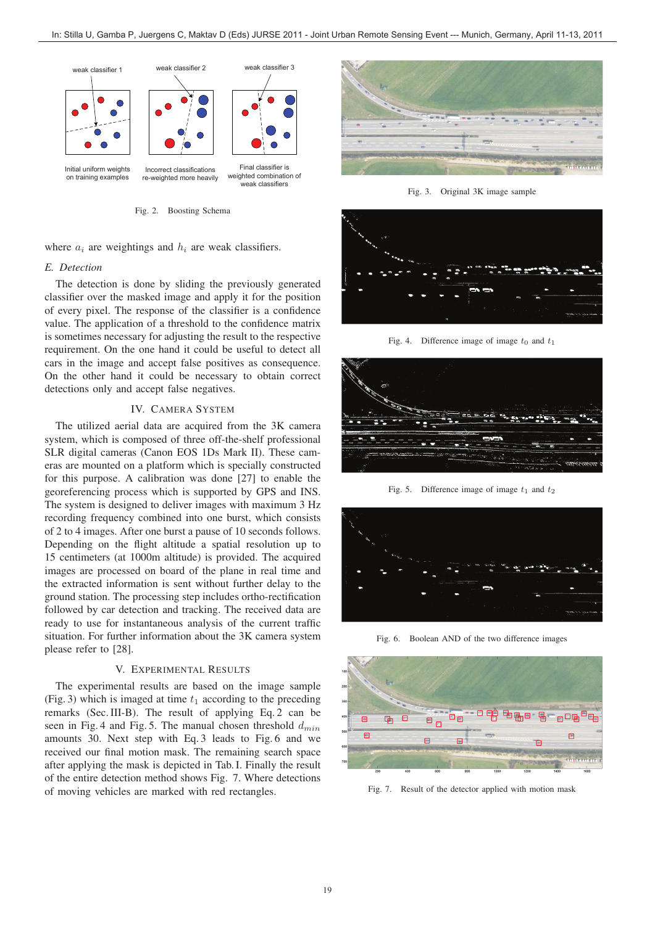

Fig. 2. Boosting Schema

where  $a_i$  are weightings and  $h_i$  are weak classifiers.

#### *E. Detection*

The detection is done by sliding the previously generated classifier over the masked image and apply it for the position of every pixel. The response of the classifier is a confidence value. The application of a threshold to the confidence matrix is sometimes necessary for adjusting the result to the respective requirement. On the one hand it could be useful to detect all cars in the image and accept false positives as consequence. On the other hand it could be necessary to obtain correct detections only and accept false negatives.

# IV. CAMERA SYSTEM

The utilized aerial data are acquired from the 3K camera system, which is composed of three off-the-shelf professional SLR digital cameras (Canon EOS 1Ds Mark II). These cameras are mounted on a platform which is specially constructed for this purpose. A calibration was done [27] to enable the georeferencing process which is supported by GPS and INS. The system is designed to deliver images with maximum 3 Hz recording frequency combined into one burst, which consists of 2 to 4 images. After one burst a pause of 10 seconds follows. Depending on the flight altitude a spatial resolution up to 15 centimeters (at 1000m altitude) is provided. The acquired images are processed on board of the plane in real time and the extracted information is sent without further delay to the ground station. The processing step includes ortho-rectification followed by car detection and tracking. The received data are ready to use for instantaneous analysis of the current traffic situation. For further information about the 3K camera system please refer to [28].

# V. EXPERIMENTAL RESULTS

The experimental results are based on the image sample (Fig. 3) which is imaged at time  $t_1$  according to the preceding remarks (Sec. III-B). The result of applying Eq. 2 can be seen in Fig. 4 and Fig. 5. The manual chosen threshold  $d_{min}$ amounts 30. Next step with Eq. 3 leads to Fig. 6 and we received our final motion mask. The remaining search space after applying the mask is depicted in Tab. I. Finally the result of the entire detection method shows Fig. 7. Where detections of moving vehicles are marked with red rectangles.



Fig. 3. Original 3K image sample



Fig. 4. Difference image of image  $t_0$  and  $t_1$ 



Fig. 5. Difference image of image  $t_1$  and  $t_2$ 



Fig. 6. Boolean AND of the two difference images



Fig. 7. Result of the detector applied with motion mask